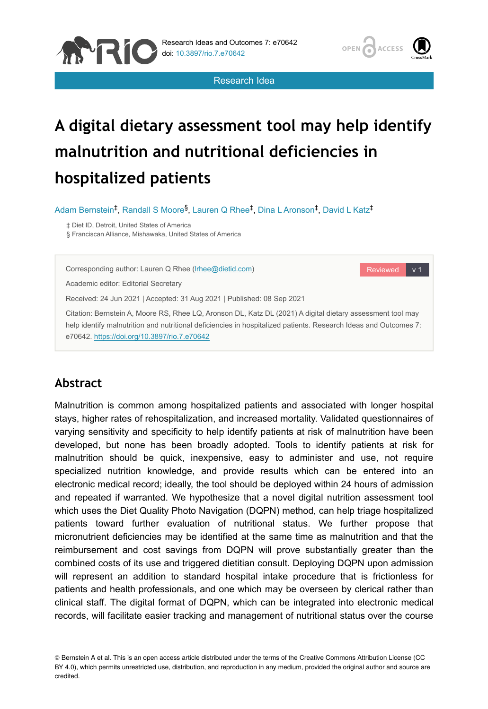

Reviewed v 1

Research Idea

# **A digital dietary assessment tool may help identify malnutrition and nutritional deficiencies in hospitalized patients**

Adam Bernstein<sup>‡</sup>, Randall S Moore<sup>§</sup>, Lauren Q Rhee<sup>‡</sup>, Dina L Aronson<sup>‡</sup>, David L Katz<sup>‡</sup>

‡ Diet ID, Detroit, United States of America

**APIC** 

§ Franciscan Alliance, Mishawaka, United States of America

Corresponding author: Lauren Q Rhee ([lrhee@dietid.com](mailto:lrhee@dietid.com))

Academic editor: Editorial Secretary

Received: 24 Jun 2021 | Accepted: 31 Aug 2021 | Published: 08 Sep 2021

Citation: Bernstein A, Moore RS, Rhee LQ, Aronson DL, Katz DL (2021) A digital dietary assessment tool may help identify malnutrition and nutritional deficiencies in hospitalized patients. Research Ideas and Outcomes 7: e70642.<https://doi.org/10.3897/rio.7.e70642>

# **Abstract**

Malnutrition is common among hospitalized patients and associated with longer hospital stays, higher rates of rehospitalization, and increased mortality. Validated questionnaires of varying sensitivity and specificity to help identify patients at risk of malnutrition have been developed, but none has been broadly adopted. Tools to identify patients at risk for malnutrition should be quick, inexpensive, easy to administer and use, not require specialized nutrition knowledge, and provide results which can be entered into an electronic medical record; ideally, the tool should be deployed within 24 hours of admission and repeated if warranted. We hypothesize that a novel digital nutrition assessment tool which uses the Diet Quality Photo Navigation (DQPN) method, can help triage hospitalized patients toward further evaluation of nutritional status. We further propose that micronutrient deficiencies may be identified at the same time as malnutrition and that the reimbursement and cost savings from DQPN will prove substantially greater than the combined costs of its use and triggered dietitian consult. Deploying DQPN upon admission will represent an addition to standard hospital intake procedure that is frictionless for patients and health professionals, and one which may be overseen by clerical rather than clinical staff. The digital format of DQPN, which can be integrated into electronic medical records, will facilitate easier tracking and management of nutritional status over the course

© Bernstein A et al. This is an open access article distributed under the terms of the Creative Commons Attribution License (CC BY 4.0), which permits unrestricted use, distribution, and reproduction in any medium, provided the original author and source are credited.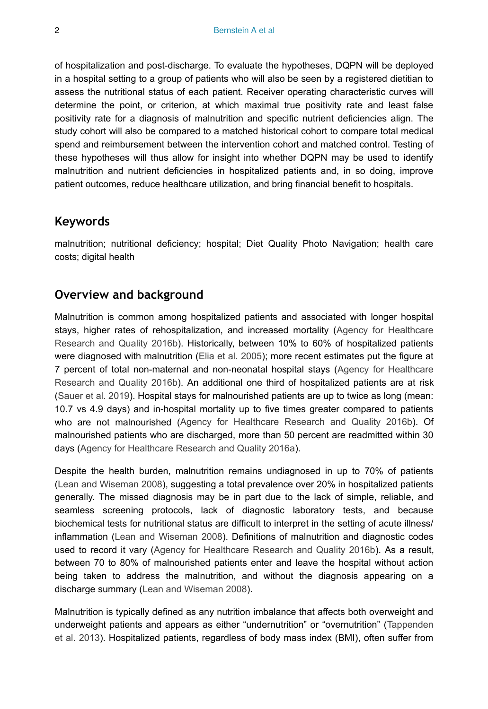of hospitalization and post-discharge. To evaluate the hypotheses, DQPN will be deployed in a hospital setting to a group of patients who will also be seen by a registered dietitian to assess the nutritional status of each patient. Receiver operating characteristic curves will determine the point, or criterion, at which maximal true positivity rate and least false positivity rate for a diagnosis of malnutrition and specific nutrient deficiencies align. The study cohort will also be compared to a matched historical cohort to compare total medical spend and reimbursement between the intervention cohort and matched control. Testing of these hypotheses will thus allow for insight into whether DQPN may be used to identify malnutrition and nutrient deficiencies in hospitalized patients and, in so doing, improve patient outcomes, reduce healthcare utilization, and bring financial benefit to hospitals.

## **Keywords**

malnutrition; nutritional deficiency; hospital; Diet Quality Photo Navigation; health care costs; digital health

# **Overview and background**

Malnutrition is common among hospitalized patients and associated with longer hospital stays, higher rates of rehospitalization, and increased mortality [\(Agency for Healthcare](#page-10-0) [Research and Quality 2016b](#page-10-0)). Historically, between 10% to 60% of hospitalized patients were diagnosed with malnutrition [\(Elia et al. 2005\)](#page-11-0); more recent estimates put the figure at 7 percent of total non-maternal and non-neonatal hospital stays [\(Agency for Healthcare](#page-10-0) [Research and Quality 2016b](#page-10-0)). An additional one third of hospitalized patients are at risk [\(Sauer et al. 2019\)](#page-12-0). Hospital stays for malnourished patients are up to twice as long (mean: 10.7 vs 4.9 days) and in-hospital mortality up to five times greater compared to patients who are not malnourished ([Agency for Healthcare Research and Quality 2016b\)](#page-10-0). Of malnourished patients who are discharged, more than 50 percent are readmitted within 30 days ([Agency for Healthcare Research and Quality 2016a\)](#page-10-1).

Despite the health burden, malnutrition remains undiagnosed in up to 70% of patients [\(Lean and Wiseman 2008\)](#page-12-1), suggesting a total prevalence over 20% in hospitalized patients generally. The missed diagnosis may be in part due to the lack of simple, reliable, and seamless screening protocols, lack of diagnostic laboratory tests, and because biochemical tests for nutritional status are difficult to interpret in the setting of acute illness/ inflammation ([Lean and Wiseman 2008](#page-12-1)). Definitions of malnutrition and diagnostic codes used to record it vary [\(Agency for Healthcare Research and Quality 2016b\)](#page-10-0). As a result, between 70 to 80% of malnourished patients enter and leave the hospital without action being taken to address the malnutrition, and without the diagnosis appearing on a discharge summary [\(Lean and Wiseman 2008\)](#page-12-1).

Malnutrition is typically defined as any nutrition imbalance that affects both overweight and underweight patients and appears as either "undernutrition" or "overnutrition" ([Tappenden](#page-13-0) [et al. 2013\)](#page-13-0). Hospitalized patients, regardless of body mass index (BMI), often suffer from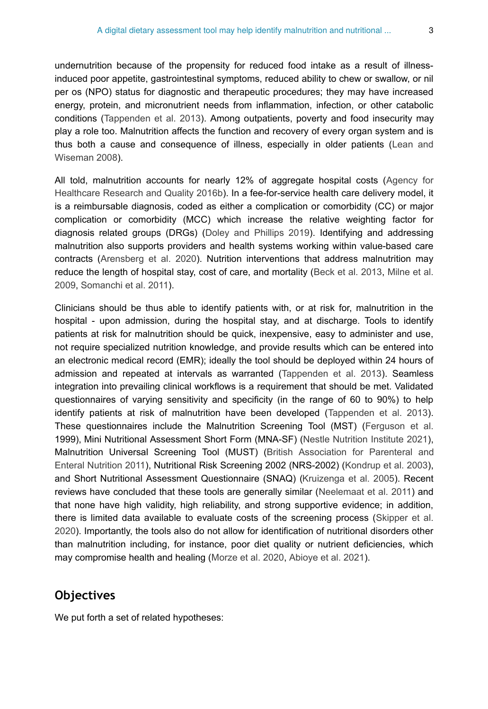undernutrition because of the propensity for reduced food intake as a result of illnessinduced poor appetite, gastrointestinal symptoms, reduced ability to chew or swallow, or nil per os (NPO) status for diagnostic and therapeutic procedures; they may have increased energy, protein, and micronutrient needs from inflammation, infection, or other catabolic conditions ([Tappenden et al. 2013](#page-13-0)). Among outpatients, poverty and food insecurity may play a role too. Malnutrition affects the function and recovery of every organ system and is thus both a cause and consequence of illness, especially in older patients ([Lean and](#page-12-1) [Wiseman 2008](#page-12-1)).

All told, malnutrition accounts for nearly 12% of aggregate hospital costs ([Agency for](#page-10-0) [Healthcare Research and Quality 2016b](#page-10-0)). In a fee-for-service health care delivery model, it is a reimbursable diagnosis, coded as either a complication or comorbidity (CC) or major complication or comorbidity (MCC) which increase the relative weighting factor for diagnosis related groups (DRGs) ([Doley and Phillips 2019](#page-10-2)). Identifying and addressing malnutrition also supports providers and health systems working within value-based care contracts [\(Arensberg et al. 2020](#page-10-3)). Nutrition interventions that address malnutrition may reduce the length of hospital stay, cost of care, and mortality ([Beck et al. 2013,](#page-10-4) [Milne et al.](#page-12-2) [2009](#page-12-2), [Somanchi et al. 2011](#page-12-3)).

Clinicians should be thus able to identify patients with, or at risk for, malnutrition in the hospital - upon admission, during the hospital stay, and at discharge. Tools to identify patients at risk for malnutrition should be quick, inexpensive, easy to administer and use, not require specialized nutrition knowledge, and provide results which can be entered into an electronic medical record (EMR); ideally the tool should be deployed within 24 hours of admission and repeated at intervals as warranted ([Tappenden et al. 2013\)](#page-13-0). Seamless integration into prevailing clinical workflows is a requirement that should be met. Validated questionnaires of varying sensitivity and specificity (in the range of 60 to 90%) to help identify patients at risk of malnutrition have been developed ([Tappenden et al. 2013\)](#page-13-0). These questionnaires include the Malnutrition Screening Tool (MST) ([Ferguson et al.](#page-11-1) 1999), Mini Nutritional Assessment Short Form (MNA-SF) [\(Nestle Nutrition Institute 2021\)](#page-12-4), Malnutrition Universal Screening Tool (MUST) ([British Association for Parenteral and](#page-10-5) [Enteral Nutrition 2011](#page-10-5)), Nutritional Risk Screening 2002 (NRS-2002) ([Kondrup et al. 2003\)](#page-11-2), and Short Nutritional Assessment Questionnaire (SNAQ) ([Kruizenga et al. 2005\)](#page-11-3). Recent reviews have concluded that these tools are generally similar [\(Neelemaat et al. 2011](#page-12-5)) and that none have high validity, high reliability, and strong supportive evidence; in addition, there is limited data available to evaluate costs of the screening process ([Skipper et al.](#page-12-6) [2020](#page-12-6)). Importantly, the tools also do not allow for identification of nutritional disorders other than malnutrition including, for instance, poor diet quality or nutrient deficiencies, which may compromise health and healing ([Morze et al. 2020](#page-12-7), [Abioye et al. 2021](#page-10-6)).

# **Objectives**

We put forth a set of related hypotheses: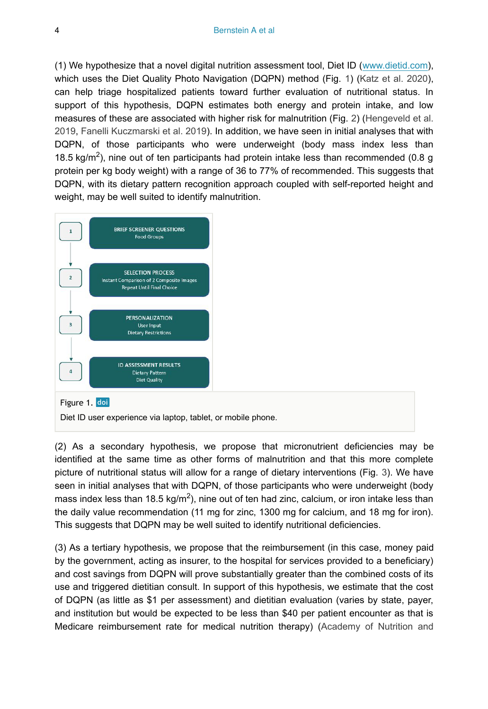(1) We hypothesize that a novel digital nutrition assessment tool, Diet ID [\(www.dietid.com\)](http://www.dietid.com), which uses the Diet Quality Photo Navigation (DQPN) method (Fig. [1](#page-3-0)) ([Katz et al. 2020\)](#page-11-4), can help triage hospitalized patients toward further evaluation of nutritional status. In support of this hypothesis, DQPN estimates both energy and protein intake, and low measures of these are associated with higher risk for malnutrition (Fig. [2](#page-4-0)) ([Hengeveld et al.](#page-11-5) [2019](#page-11-5), [Fanelli Kuczmarski et al. 2019\)](#page-11-6). In addition, we have seen in initial analyses that with DQPN, of those participants who were underweight (body mass index less than 18.5 kg/m<sup>2</sup>), nine out of ten participants had protein intake less than recommended (0.8 g protein per kg body weight) with a range of 36 to 77% of recommended. This suggests that DQPN, with its dietary pattern recognition approach coupled with self-reported height and weight, may be well suited to identify malnutrition.

<span id="page-3-0"></span>

(2) As a secondary hypothesis, we propose that micronutrient deficiencies may be identified at the same time as other forms of malnutrition and that this more complete picture of nutritional status will allow for a range of dietary interventions (Fig. [3\)](#page-5-0). We have seen in initial analyses that with DQPN, of those participants who were underweight (body mass index less than 18.5 kg/m<sup>2</sup>), nine out of ten had zinc, calcium, or iron intake less than the daily value recommendation (11 mg for zinc, 1300 mg for calcium, and 18 mg for iron). This suggests that DQPN may be well suited to identify nutritional deficiencies.

(3) As a tertiary hypothesis, we propose that the reimbursement (in this case, money paid by the government, acting as insurer, to the hospital for services provided to a beneficiary) and cost savings from DQPN will prove substantially greater than the combined costs of its use and triggered dietitian consult. In support of this hypothesis, we estimate that the cost of DQPN (as little as \$1 per assessment) and dietitian evaluation (varies by state, payer, and institution but would be expected to be less than \$40 per patient encounter as that is Medicare reimbursement rate for medical nutrition therapy) ([Academy of Nutrition and](#page-10-7)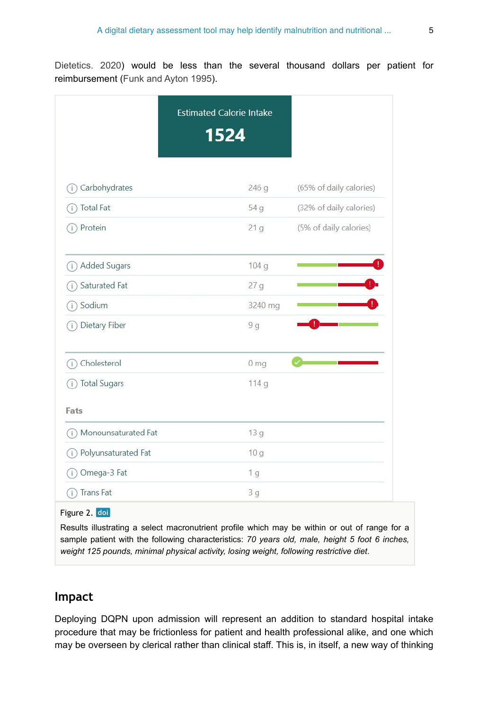[Dietetics. 2020](#page-10-7)) would be less than the several thousand dollars per patient for reimbursement ([Funk and Ayton 1995\)](#page-11-7).

<span id="page-4-0"></span>

|                               | <b>Estimated Calorie Intake</b><br>1524 |                         |
|-------------------------------|-----------------------------------------|-------------------------|
| Carbohydrates<br>Ť            | 246g                                    | (65% of daily calories) |
| <b>Total Fat</b><br>Ť         | 54 g                                    | (32% of daily calories) |
| Protein<br>Ì.                 | 21 <sub>g</sub>                         | (5% of daily calories)  |
| <b>Added Sugars</b><br>T      | 104 g                                   |                         |
| Saturated Fat<br>ĵ.           | 27g                                     |                         |
| Sodium<br>Î.                  | 3240 mg                                 |                         |
| Dietary Fiber<br>$\mathbf{I}$ | 9 <sub>g</sub>                          |                         |
| Cholesterol<br>Ŧ              | 0 <sub>mg</sub>                         |                         |
| <b>Total Sugars</b><br>Ť.     | 114 g                                   |                         |
| Fats                          |                                         |                         |
| Monounsaturated Fat<br>T      | 13 g                                    |                         |
| Polyunsaturated Fat<br>ï.     | 10 <sub>g</sub>                         |                         |
| Omega-3 Fat<br>Ť              | 1 <sub>g</sub>                          |                         |
| <b>Trans Fat</b><br>ï         | 3g                                      |                         |

#### Figure 2. doi

Results illustrating a select macronutrient profile which may be within or out of range for a sample patient with the following characteristics: *70 years old, male, height 5 foot 6 inches, weight 125 pounds, minimal physical activity, losing weight, following restrictive diet*.

# **Impact**

Deploying DQPN upon admission will represent an addition to standard hospital intake procedure that may be frictionless for patient and health professional alike, and one which may be overseen by clerical rather than clinical staff. This is, in itself, a new way of thinking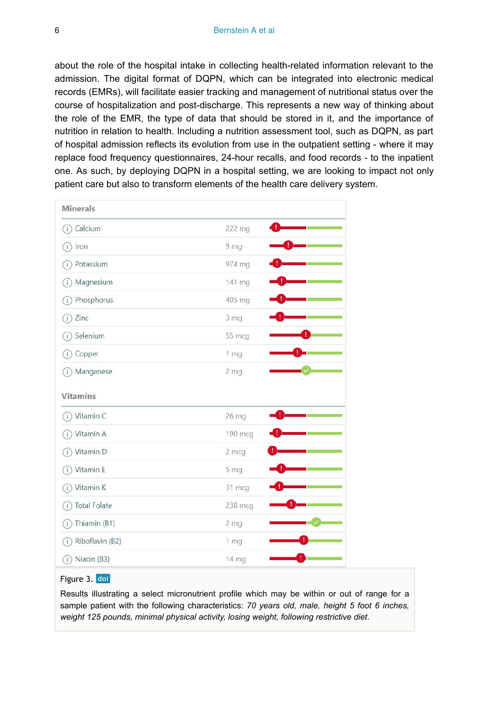about the role of the hospital intake in collecting health-related information relevant to the admission. The digital format of DQPN, which can be integrated into electronic medical records (EMRs), will facilitate easier tracking and management of nutritional status over the course of hospitalization and post-discharge. This represents a new way of thinking about the role of the EMR, the type of data that should be stored in it, and the importance of nutrition in relation to health. Including a nutrition assessment tool, such as DQPN, as part of hospital admission reflects its evolution from use in the outpatient setting - where it may replace food frequency questionnaires, 24-hour recalls, and food records - to the inpatient one. As such, by deploying DQPN in a hospital setting, we are looking to impact not only patient care but also to transform elements of the health care delivery system.

<span id="page-5-0"></span>

| <b>Minerals</b>            |                 |
|----------------------------|-----------------|
| (i) Calcium                | 222 mg          |
| $(i)$ Iron                 | 9 <sub>mg</sub> |
| Potassium<br>(i)           | 974 mg          |
| Magnesium<br>Œ             | 141 mg          |
| Phosphorus<br>(i)          | 405 mg          |
| $(i)$ Zinc                 | 3 <sub>mg</sub> |
| Selenium<br>(i)            | 55 mcg          |
| (i) Copper                 | 1 <sub>mg</sub> |
| Manganese<br>(i)           | 2 <sub>mg</sub> |
| <b>Vitamins</b>            |                 |
| (i) Vitamin C              | 26 mg           |
| Vitamin A<br>(i)           | 190 mcg         |
| (i) Vitamin D              | 2 mcg           |
| Vitamin E<br>Œ.            | 5 <sub>mg</sub> |
| Vitamin K<br>G.            | 31 mcg          |
| <b>Total Folate</b><br>(i) | 238 mcg         |
| Thiamin (B1)<br>G.         | 2 <sub>mg</sub> |
| Riboflavin (B2)<br>G.      | 1 <sub>mg</sub> |
| Niacin (B3)<br>(i)         | 14 mg           |

#### Figure 3. doi

Results illustrating a select micronutrient profile which may be within or out of range for a sample patient with the following characteristics: *70 years old, male, height 5 foot 6 inches, weight 125 pounds, minimal physical activity, losing weight, following restrictive diet*.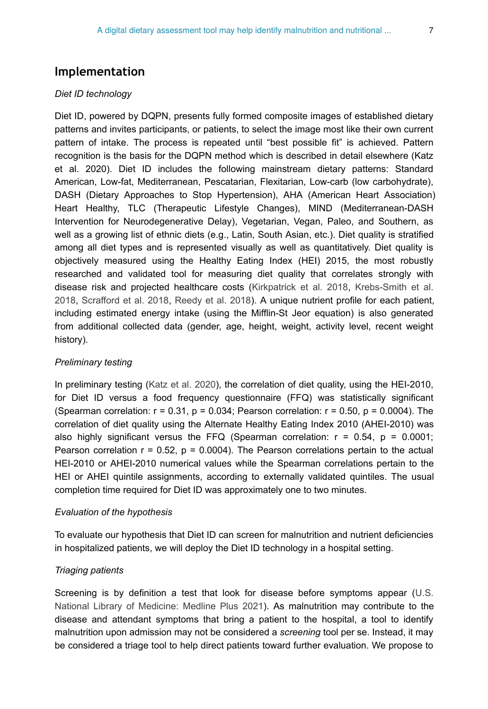# **Implementation**

#### *Diet ID technology*

Diet ID, powered by DQPN, presents fully formed composite images of established dietary patterns and invites participants, or patients, to select the image most like their own current pattern of intake. The process is repeated until "best possible fit" is achieved. Pattern recognition is the basis for the DQPN method which is described in detail elsewhere (Katz et al. 2020). Diet ID includes the following mainstream dietary patterns: Standard American, Low-fat, Mediterranean, Pescatarian, Flexitarian, Low-carb (low carbohydrate), DASH (Dietary Approaches to Stop Hypertension), AHA (American Heart Association) Heart Healthy, TLC (Therapeutic Lifestyle Changes), MIND (Mediterranean-DASH Intervention for Neurodegenerative Delay), Vegetarian, Vegan, Paleo, and Southern, as well as a growing list of ethnic diets (e.g., Latin, South Asian, etc.). Diet quality is stratified among all diet types and is represented visually as well as quantitatively. Diet quality is objectively measured using the Healthy Eating Index (HEI) 2015, the most robustly researched and validated tool for measuring diet quality that correlates strongly with disease risk and projected healthcare costs [\(Kirkpatrick et al. 2018](#page-11-8), [Krebs-Smith et al.](#page-11-9) [2018](#page-11-9), [Scrafford et al. 2018,](#page-12-8) [Reedy et al. 2018](#page-12-9)). A unique nutrient profile for each patient, including estimated energy intake (using the Mifflin-St Jeor equation) is also generated from additional collected data (gender, age, height, weight, activity level, recent weight history).

#### *Preliminary testing*

In preliminary testing ([Katz et al. 2020\)](#page-11-4), the correlation of diet quality, using the HEI-2010, for Diet ID versus a food frequency questionnaire (FFQ) was statistically significant (Spearman correlation:  $r = 0.31$ ,  $p = 0.034$ ; Pearson correlation:  $r = 0.50$ ,  $p = 0.0004$ ). The correlation of diet quality using the Alternate Healthy Eating Index 2010 (AHEI-2010) was also highly significant versus the FFQ (Spearman correlation:  $r = 0.54$ ,  $p = 0.0001$ ; Pearson correlation  $r = 0.52$ ,  $p = 0.0004$ ). The Pearson correlations pertain to the actual HEI-2010 or AHEI-2010 numerical values while the Spearman correlations pertain to the HEI or AHEI quintile assignments, according to externally validated quintiles. The usual completion time required for Diet ID was approximately one to two minutes.

#### *Evaluation of the hypothesis*

To evaluate our hypothesis that Diet ID can screen for malnutrition and nutrient deficiencies in hospitalized patients, we will deploy the Diet ID technology in a hospital setting.

#### *Triaging patients*

Screening is by definition a test that look for disease before symptoms appear ([U.S.](#page-13-1) [National Library of Medicine: Medline Plus 2021](#page-13-1)). As malnutrition may contribute to the disease and attendant symptoms that bring a patient to the hospital, a tool to identify malnutrition upon admission may not be considered a *screening* tool per se. Instead, it may be considered a triage tool to help direct patients toward further evaluation. We propose to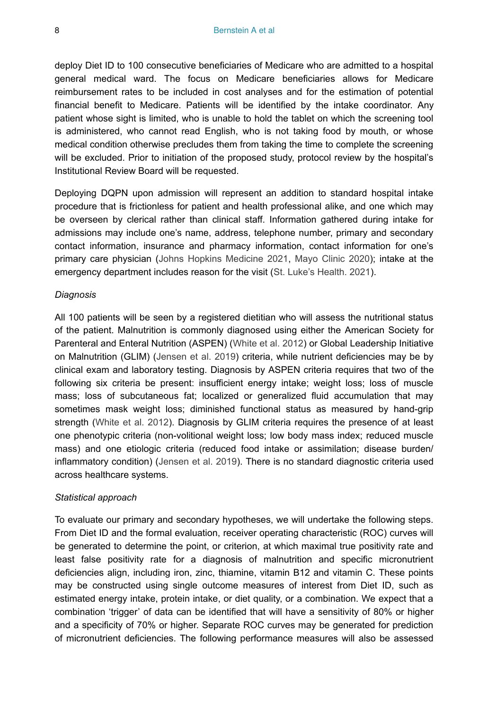deploy Diet ID to 100 consecutive beneficiaries of Medicare who are admitted to a hospital general medical ward. The focus on Medicare beneficiaries allows for Medicare reimbursement rates to be included in cost analyses and for the estimation of potential financial benefit to Medicare. Patients will be identified by the intake coordinator. Any patient whose sight is limited, who is unable to hold the tablet on which the screening tool is administered, who cannot read English, who is not taking food by mouth, or whose medical condition otherwise precludes them from taking the time to complete the screening will be excluded. Prior to initiation of the proposed study, protocol review by the hospital's Institutional Review Board will be requested.

Deploying DQPN upon admission will represent an addition to standard hospital intake procedure that is frictionless for patient and health professional alike, and one which may be overseen by clerical rather than clinical staff. Information gathered during intake for admissions may include one's name, address, telephone number, primary and secondary contact information, insurance and pharmacy information, contact information for one's primary care physician ([Johns Hopkins Medicine 2021](#page-11-10), [Mayo Clinic 2020](#page-12-10)); intake at the emergency department includes reason for the visit ([St. Luke's Health. 2021\)](#page-13-2).

#### *Diagnosis*

All 100 patients will be seen by a registered dietitian who will assess the nutritional status of the patient. Malnutrition is commonly diagnosed using either the American Society for Parenteral and Enteral Nutrition (ASPEN) ([White et al. 2012\)](#page-13-3) or Global Leadership Initiative on Malnutrition (GLIM) ([Jensen et al. 2019\)](#page-11-11) criteria, while nutrient deficiencies may be by clinical exam and laboratory testing. Diagnosis by ASPEN criteria requires that two of the following six criteria be present: insufficient energy intake; weight loss; loss of muscle mass; loss of subcutaneous fat; localized or generalized fluid accumulation that may sometimes mask weight loss; diminished functional status as measured by hand-grip strength [\(White et al. 2012\)](#page-13-3). Diagnosis by GLIM criteria requires the presence of at least one phenotypic criteria (non-volitional weight loss; low body mass index; reduced muscle mass) and one etiologic criteria (reduced food intake or assimilation; disease burden/ inflammatory condition) ([Jensen et al. 2019\)](#page-11-11). There is no standard diagnostic criteria used across healthcare systems.

#### *Statistical approach*

To evaluate our primary and secondary hypotheses, we will undertake the following steps. From Diet ID and the formal evaluation, receiver operating characteristic (ROC) curves will be generated to determine the point, or criterion, at which maximal true positivity rate and least false positivity rate for a diagnosis of malnutrition and specific micronutrient deficiencies align, including iron, zinc, thiamine, vitamin B12 and vitamin C. These points may be constructed using single outcome measures of interest from Diet ID, such as estimated energy intake, protein intake, or diet quality, or a combination. We expect that a combination 'trigger' of data can be identified that will have a sensitivity of 80% or higher and a specificity of 70% or higher. Separate ROC curves may be generated for prediction of micronutrient deficiencies. The following performance measures will also be assessed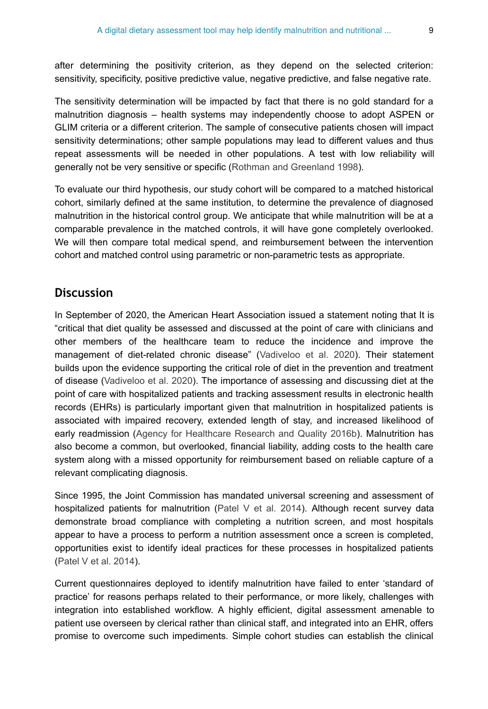after determining the positivity criterion, as they depend on the selected criterion: sensitivity, specificity, positive predictive value, negative predictive, and false negative rate.

The sensitivity determination will be impacted by fact that there is no gold standard for a malnutrition diagnosis – health systems may independently choose to adopt ASPEN or GLIM criteria or a different criterion. The sample of consecutive patients chosen will impact sensitivity determinations; other sample populations may lead to different values and thus repeat assessments will be needed in other populations. A test with low reliability will generally not be very sensitive or specific ([Rothman and Greenland 1998](#page-12-11)).

To evaluate our third hypothesis, our study cohort will be compared to a matched historical cohort, similarly defined at the same institution, to determine the prevalence of diagnosed malnutrition in the historical control group. We anticipate that while malnutrition will be at a comparable prevalence in the matched controls, it will have gone completely overlooked. We will then compare total medical spend, and reimbursement between the intervention cohort and matched control using parametric or non-parametric tests as appropriate.

## **Discussion**

In September of 2020, the American Heart Association issued a statement noting that It is "critical that diet quality be assessed and discussed at the point of care with clinicians and other members of the healthcare team to reduce the incidence and improve the management of diet-related chronic disease" ([Vadiveloo et al. 2020\)](#page-13-4). Their statement builds upon the evidence supporting the critical role of diet in the prevention and treatment of disease ([Vadiveloo et al. 2020](#page-13-4)). The importance of assessing and discussing diet at the point of care with hospitalized patients and tracking assessment results in electronic health records (EHRs) is particularly important given that malnutrition in hospitalized patients is associated with impaired recovery, extended length of stay, and increased likelihood of early readmission [\(Agency for Healthcare Research and Quality 2016b\)](#page-10-0). Malnutrition has also become a common, but overlooked, financial liability, adding costs to the health care system along with a missed opportunity for reimbursement based on reliable capture of a relevant complicating diagnosis.

Since 1995, the Joint Commission has mandated universal screening and assessment of hospitalized patients for malnutrition [\(Patel V et al. 2014\)](#page-12-12). Although recent survey data demonstrate broad compliance with completing a nutrition screen, and most hospitals appear to have a process to perform a nutrition assessment once a screen is completed, opportunities exist to identify ideal practices for these processes in hospitalized patients [\(Patel V et al. 2014\)](#page-12-12).

Current questionnaires deployed to identify malnutrition have failed to enter 'standard of practice' for reasons perhaps related to their performance, or more likely, challenges with integration into established workflow. A highly efficient, digital assessment amenable to patient use overseen by clerical rather than clinical staff, and integrated into an EHR, offers promise to overcome such impediments. Simple cohort studies can establish the clinical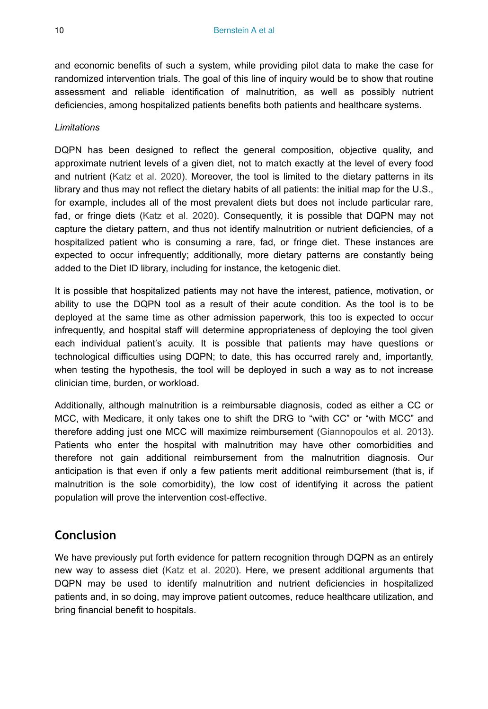and economic benefits of such a system, while providing pilot data to make the case for randomized intervention trials. The goal of this line of inquiry would be to show that routine assessment and reliable identification of malnutrition, as well as possibly nutrient deficiencies, among hospitalized patients benefits both patients and healthcare systems.

#### *Limitations*

DQPN has been designed to reflect the general composition, objective quality, and approximate nutrient levels of a given diet, not to match exactly at the level of every food and nutrient ([Katz et al. 2020](#page-11-4)). Moreover, the tool is limited to the dietary patterns in its library and thus may not reflect the dietary habits of all patients: the initial map for the U.S., for example, includes all of the most prevalent diets but does not include particular rare, fad, or fringe diets ([Katz et al. 2020\)](#page-11-4). Consequently, it is possible that DQPN may not capture the dietary pattern, and thus not identify malnutrition or nutrient deficiencies, of a hospitalized patient who is consuming a rare, fad, or fringe diet. These instances are expected to occur infrequently; additionally, more dietary patterns are constantly being added to the Diet ID library, including for instance, the ketogenic diet.

It is possible that hospitalized patients may not have the interest, patience, motivation, or ability to use the DQPN tool as a result of their acute condition. As the tool is to be deployed at the same time as other admission paperwork, this too is expected to occur infrequently, and hospital staff will determine appropriateness of deploying the tool given each individual patient's acuity. It is possible that patients may have questions or technological difficulties using DQPN; to date, this has occurred rarely and, importantly, when testing the hypothesis, the tool will be deployed in such a way as to not increase clinician time, burden, or workload.

Additionally, although malnutrition is a reimbursable diagnosis, coded as either a CC or MCC, with Medicare, it only takes one to shift the DRG to "with CC" or "with MCC" and therefore adding just one MCC will maximize reimbursement ([Giannopoulos et al. 2013\)](#page-11-12). Patients who enter the hospital with malnutrition may have other comorbidities and therefore not gain additional reimbursement from the malnutrition diagnosis. Our anticipation is that even if only a few patients merit additional reimbursement (that is, if malnutrition is the sole comorbidity), the low cost of identifying it across the patient population will prove the intervention cost-effective.

# **Conclusion**

We have previously put forth evidence for pattern recognition through DQPN as an entirely new way to assess diet [\(Katz et al. 2020\)](#page-11-4). Here, we present additional arguments that DQPN may be used to identify malnutrition and nutrient deficiencies in hospitalized patients and, in so doing, may improve patient outcomes, reduce healthcare utilization, and bring financial benefit to hospitals.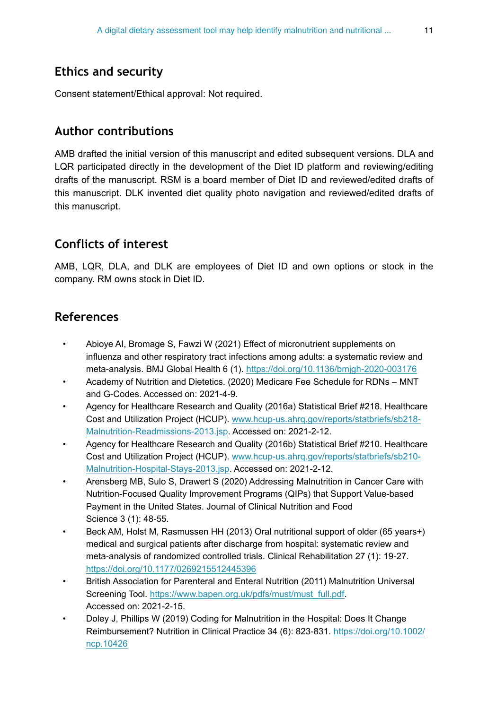# **Ethics and security**

Consent statement/Ethical approval: Not required.

### **Author contributions**

AMB drafted the initial version of this manuscript and edited subsequent versions. DLA and LQR participated directly in the development of the Diet ID platform and reviewing/editing drafts of the manuscript. RSM is a board member of Diet ID and reviewed/edited drafts of this manuscript. DLK invented diet quality photo navigation and reviewed/edited drafts of this manuscript.

# **Conflicts of interest**

AMB, LQR, DLA, and DLK are employees of Diet ID and own options or stock in the company. RM owns stock in Diet ID.

# **References**

- <span id="page-10-6"></span>• Abioye AI, Bromage S, Fawzi W (2021) Effect of micronutrient supplements on influenza and other respiratory tract infections among adults: a systematic review and meta-analysis. BMJ Global Health 6 (1). <https://doi.org/10.1136/bmjgh-2020-003176>
- <span id="page-10-7"></span>• Academy of Nutrition and Dietetics. (2020) Medicare Fee Schedule for RDNs – MNT and G-Codes. Accessed on: 2021-4-9.
- <span id="page-10-1"></span>• Agency for Healthcare Research and Quality (2016a) Statistical Brief #218. Healthcare Cost and Utilization Project (HCUP). [www.hcup-us.ahrq.gov/reports/statbriefs/sb218-](http://www.hcup-us.ahrq.gov/reports/statbriefs/sb218-Malnutrition-Readmissions-2013.jsp) [Malnutrition-Readmissions-2013.jsp](http://www.hcup-us.ahrq.gov/reports/statbriefs/sb218-Malnutrition-Readmissions-2013.jsp). Accessed on: 2021-2-12.
- <span id="page-10-0"></span>• Agency for Healthcare Research and Quality (2016b) Statistical Brief #210. Healthcare Cost and Utilization Project (HCUP). [www.hcup-us.ahrq.gov/reports/statbriefs/sb210-](http://www.hcup-us.ahrq.gov/reports/statbriefs/sb210-Malnutrition-Hospital-Stays-2013.jsp) [Malnutrition-Hospital-Stays-2013.jsp.](http://www.hcup-us.ahrq.gov/reports/statbriefs/sb210-Malnutrition-Hospital-Stays-2013.jsp) Accessed on: 2021-2-12.
- <span id="page-10-3"></span>• Arensberg MB, Sulo S, Drawert S (2020) Addressing Malnutrition in Cancer Care with Nutrition-Focused Quality Improvement Programs (QIPs) that Support Value-based Payment in the United States. Journal of Clinical Nutrition and Food Science 3 (1): 48‑55.
- <span id="page-10-4"></span>• Beck AM, Holst M, Rasmussen HH (2013) Oral nutritional support of older (65 years+) medical and surgical patients after discharge from hospital: systematic review and meta-analysis of randomized controlled trials. Clinical Rehabilitation 27 (1): 19-27. <https://doi.org/10.1177/0269215512445396>
- <span id="page-10-5"></span>• British Association for Parenteral and Enteral Nutrition (2011) Malnutrition Universal Screening Tool. [https://www.bapen.org.uk/pdfs/must/must\\_full.pdf.](https://www.bapen.org.uk/pdfs/must/must_full.pdf) Accessed on: 2021-2-15.
- <span id="page-10-2"></span>• Doley J, Phillips W (2019) Coding for Malnutrition in the Hospital: Does It Change Reimbursement? Nutrition in Clinical Practice 34 (6): 823-831. [https://doi.org/10.1002/](https://doi.org/10.1002/ncp.10426) [ncp.10426](https://doi.org/10.1002/ncp.10426)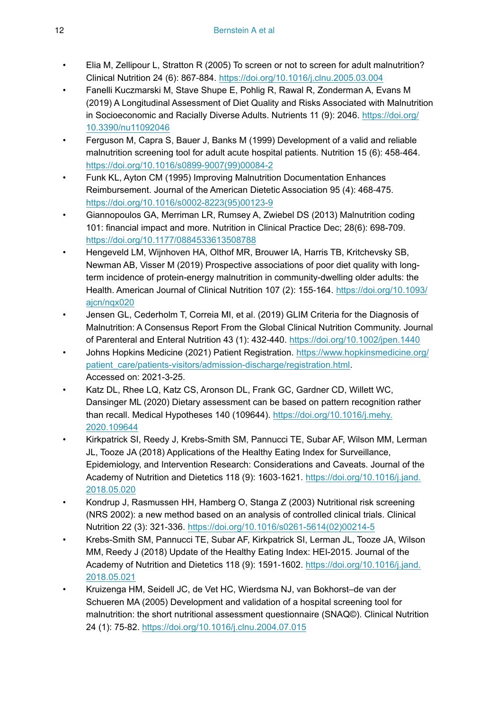- <span id="page-11-0"></span>• Elia M, Zellipour L, Stratton R (2005) To screen or not to screen for adult malnutrition? Clinical Nutrition 24 (6): 867‑884. <https://doi.org/10.1016/j.clnu.2005.03.004>
- <span id="page-11-6"></span>• Fanelli Kuczmarski M, Stave Shupe E, Pohlig R, Rawal R, Zonderman A, Evans M (2019) A Longitudinal Assessment of Diet Quality and Risks Associated with Malnutrition in Socioeconomic and Racially Diverse Adults. Nutrients 11 (9): 2046. [https://doi.org/](https://doi.org/10.3390/nu11092046) [10.3390/nu11092046](https://doi.org/10.3390/nu11092046)
- <span id="page-11-1"></span>• Ferguson M, Capra S, Bauer J, Banks M (1999) Development of a valid and reliable malnutrition screening tool for adult acute hospital patients. Nutrition 15 (6): 458-464. [https://doi.org/10.1016/s0899-9007\(99\)00084-2](https://doi.org/10.1016/s0899-9007(99)00084-2)
- <span id="page-11-7"></span>• Funk KL, Ayton CM (1995) Improving Malnutrition Documentation Enhances Reimbursement. Journal of the American Dietetic Association 95 (4): 468‑475. [https://doi.org/10.1016/s0002-8223\(95\)00123-9](https://doi.org/10.1016/s0002-8223(95)00123-9)
- <span id="page-11-12"></span>• Giannopoulos GA, Merriman LR, Rumsey A, Zwiebel DS (2013) Malnutrition coding 101: financial impact and more. Nutrition in Clinical Practice Dec; 28(6): 698-709. <https://doi.org/10.1177/0884533613508788>
- <span id="page-11-5"></span>• Hengeveld LM, Wijnhoven HA, Olthof MR, Brouwer IA, Harris TB, Kritchevsky SB, Newman AB, Visser M (2019) Prospective associations of poor diet quality with longterm incidence of protein-energy malnutrition in community-dwelling older adults: the Health. American Journal of Clinical Nutrition 107 (2): 155-164. [https://doi.org/10.1093/](https://doi.org/10.1093/ajcn/nqx020) [ajcn/nqx020](https://doi.org/10.1093/ajcn/nqx020)
- <span id="page-11-11"></span>• Jensen GL, Cederholm T, Correia MI, et al. (2019) GLIM Criteria for the Diagnosis of Malnutrition: A Consensus Report From the Global Clinical Nutrition Community. Journal of Parenteral and Enteral Nutrition 43 (1): 432‑440.<https://doi.org/10.1002/jpen.1440>
- <span id="page-11-10"></span>Johns Hopkins Medicine (2021) Patient Registration. [https://www.hopkinsmedicine.org/](https://www.hopkinsmedicine.org/patient_care/patients-visitors/admission-discharge/registration.html) [patient\\_care/patients-visitors/admission-discharge/registration.html](https://www.hopkinsmedicine.org/patient_care/patients-visitors/admission-discharge/registration.html). Accessed on: 2021-3-25.
- <span id="page-11-4"></span>• Katz DL, Rhee LQ, Katz CS, Aronson DL, Frank GC, Gardner CD, Willett WC, Dansinger ML (2020) Dietary assessment can be based on pattern recognition rather than recall. Medical Hypotheses 140 (109644). [https://doi.org/10.1016/j.mehy.](https://doi.org/10.1016/j.mehy.2020.109644) [2020.109644](https://doi.org/10.1016/j.mehy.2020.109644)
- <span id="page-11-8"></span>• Kirkpatrick SI, Reedy J, Krebs-Smith SM, Pannucci TE, Subar AF, Wilson MM, Lerman JL, Tooze JA (2018) Applications of the Healthy Eating Index for Surveillance, Epidemiology, and Intervention Research: Considerations and Caveats. Journal of the Academy of Nutrition and Dietetics 118 (9): 1603-1621. [https://doi.org/10.1016/j.jand.](https://doi.org/10.1016/j.jand.2018.05.020) [2018.05.020](https://doi.org/10.1016/j.jand.2018.05.020)
- <span id="page-11-2"></span>• Kondrup J, Rasmussen HH, Hamberg O, Stanga Z (2003) Nutritional risk screening (NRS 2002): a new method based on an analysis of controlled clinical trials. Clinical Nutrition 22 (3): 321‑336. [https://doi.org/10.1016/s0261-5614\(02\)00214-5](https://doi.org/10.1016/s0261-5614(02)00214-5)
- <span id="page-11-9"></span>• Krebs-Smith SM, Pannucci TE, Subar AF, Kirkpatrick SI, Lerman JL, Tooze JA, Wilson MM, Reedy J (2018) Update of the Healthy Eating Index: HEI-2015. Journal of the Academy of Nutrition and Dietetics 118 (9): 1591‑1602. [https://doi.org/10.1016/j.jand.](https://doi.org/10.1016/j.jand.2018.05.021) [2018.05.021](https://doi.org/10.1016/j.jand.2018.05.021)
- <span id="page-11-3"></span>• Kruizenga HM, Seidell JC, de Vet HC, Wierdsma NJ, van Bokhorst–de van der Schueren MA (2005) Development and validation of a hospital screening tool for malnutrition: the short nutritional assessment questionnaire (SNAQ©). Clinical Nutrition 24 (1): 75‑82.<https://doi.org/10.1016/j.clnu.2004.07.015>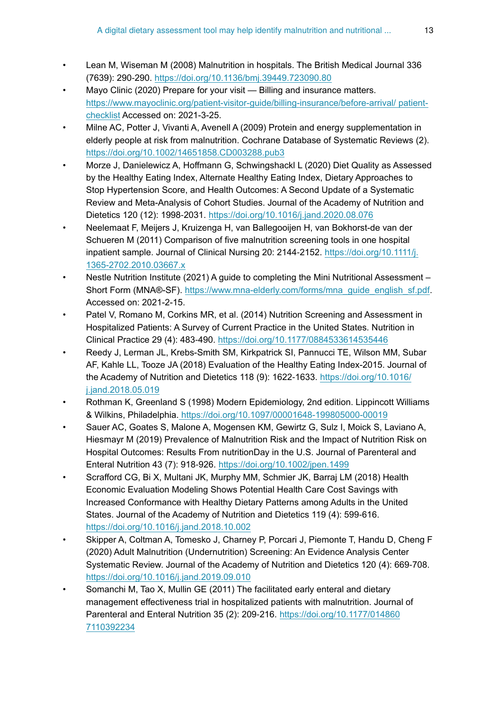- <span id="page-12-1"></span>• Lean M, Wiseman M (2008) Malnutrition in hospitals. The British Medical Journal 336 (7639): 290‑290. <https://doi.org/10.1136/bmj.39449.723090.80>
- <span id="page-12-10"></span>Mayo Clinic (2020) Prepare for your visit — Billing and insurance matters. [https://www.mayoclinic.org/patient-visitor-guide/billing-insurance/before-arrival/ patient](https://www.mayoclinic.org/patient-visitor-guide/billing-insurance/before-arrival/patient-checklist)[checklist](https://www.mayoclinic.org/patient-visitor-guide/billing-insurance/before-arrival/patient-checklist) Accessed on: 2021-3-25.
- <span id="page-12-2"></span>• Milne AC, Potter J, Vivanti A, Avenell A (2009) Protein and energy supplementation in elderly people at risk from malnutrition. Cochrane Database of Systematic Reviews (2). <https://doi.org/10.1002/14651858.CD003288.pub3>
- <span id="page-12-7"></span>• Morze J, Danielewicz A, Hoffmann G, Schwingshackl L (2020) Diet Quality as Assessed by the Healthy Eating Index, Alternate Healthy Eating Index, Dietary Approaches to Stop Hypertension Score, and Health Outcomes: A Second Update of a Systematic Review and Meta-Analysis of Cohort Studies. Journal of the Academy of Nutrition and Dietetics 120 (12): 1998‑2031. <https://doi.org/10.1016/j.jand.2020.08.076>
- <span id="page-12-5"></span>• Neelemaat F, Meijers J, Kruizenga H, van Ballegooijen H, van Bokhorst-de van der Schueren M (2011) Comparison of five malnutrition screening tools in one hospital inpatient sample. Journal of Clinical Nursing 20: 2144-2152. [https://doi.org/10.1111/j.](https://doi.org/10.1111/j.1365-2702.2010.03667.x) [1365-2702.2010.03667.x](https://doi.org/10.1111/j.1365-2702.2010.03667.x)
- <span id="page-12-4"></span>• Nestle Nutrition Institute (2021) A guide to completing the Mini Nutritional Assessment – Short Form (MNA®-SF). [https://www.mna-elderly.com/forms/mna\\_guide\\_english\\_sf.pdf.](https://www.mna-elderly.com/forms/mna_guide_english_sf.pdf) Accessed on: 2021-2-15.
- <span id="page-12-12"></span>• Patel V, Romano M, Corkins MR, et al. (2014) Nutrition Screening and Assessment in Hospitalized Patients: A Survey of Current Practice in the United States. Nutrition in Clinical Practice 29 (4): 483‑490. <https://doi.org/10.1177/0884533614535446>
- <span id="page-12-9"></span>• Reedy J, Lerman JL, Krebs-Smith SM, Kirkpatrick SI, Pannucci TE, Wilson MM, Subar AF, Kahle LL, Tooze JA (2018) Evaluation of the Healthy Eating Index-2015. Journal of the Academy of Nutrition and Dietetics 118 (9): 1622-1633. [https://doi.org/10.1016/](https://doi.org/10.1016/j.jand.2018.05.019) [j.jand.2018.05.019](https://doi.org/10.1016/j.jand.2018.05.019)
- <span id="page-12-11"></span>• Rothman K, Greenland S (1998) Modern Epidemiology, 2nd edition. Lippincott Williams & Wilkins, Philadelphia[. https://doi.org/10.1097/00001648-199805000-00019](https://doi.org/10.1097/00001648-199805000-00019)
- <span id="page-12-0"></span>• Sauer AC, Goates S, Malone A, Mogensen KM, Gewirtz G, Sulz I, Moick S, Laviano A, Hiesmayr M (2019) Prevalence of Malnutrition Risk and the Impact of Nutrition Risk on Hospital Outcomes: Results From nutritionDay in the U.S. Journal of Parenteral and Enteral Nutrition 43 (7): 918‑926.<https://doi.org/10.1002/jpen.1499>
- <span id="page-12-8"></span>• Scrafford CG, Bi X, Multani JK, Murphy MM, Schmier JK, Barraj LM (2018) Health Economic Evaluation Modeling Shows Potential Health Care Cost Savings with Increased Conformance with Healthy Dietary Patterns among Adults in the United States. Journal of the Academy of Nutrition and Dietetics 119 (4): 599-616. <https://doi.org/10.1016/j.jand.2018.10.002>
- <span id="page-12-6"></span>• Skipper A, Coltman A, Tomesko J, Charney P, Porcari J, Piemonte T, Handu D, Cheng F (2020) Adult Malnutrition (Undernutrition) Screening: An Evidence Analysis Center Systematic Review. Journal of the Academy of Nutrition and Dietetics 120 (4): 669‑708. <https://doi.org/10.1016/j.jand.2019.09.010>
- <span id="page-12-3"></span>• Somanchi M, Tao X, Mullin GE (2011) The facilitated early enteral and dietary management effectiveness trial in hospitalized patients with malnutrition. Journal of Parenteral and Enteral Nutrition 35 (2): 209-216. [https://doi.org/10.1177/014860](https://doi.org/10.1177/0148607110392234) [7110392234](https://doi.org/10.1177/0148607110392234)